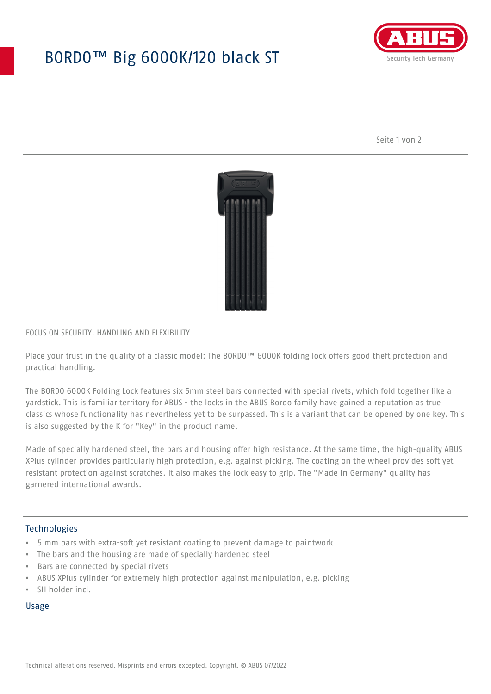## BORDO™ Big 6000K/120 black ST



Seite 1 von 2



#### FOCUS ON SECURITY, HANDLING AND FLEXIBILITY

Place your trust in the quality of a classic model: The BORDO™ 6000K folding lock offers good theft protection and practical handling.

The BORDO 6000K Folding Lock features six 5mm steel bars connected with special rivets, which fold together like a yardstick. This is familiar territory for ABUS - the locks in the ABUS Bordo family have gained a reputation as true classics whose functionality has nevertheless yet to be surpassed. This is a variant that can be opened by one key. This is also suggested by the K for "Key" in the product name.

Made of specially hardened steel, the bars and housing offer high resistance. At the same time, the high-quality ABUS XPlus cylinder provides particularly high protection, e.g. against picking. The coating on the wheel provides soft yet resistant protection against scratches. It also makes the lock easy to grip. The "Made in Germany" quality has garnered international awards.

#### **Technologies**

- 5 mm bars with extra-soft yet resistant coating to prevent damage to paintwork
- The bars and the housing are made of specially hardened steel
- Bars are connected by special rivets
- ABUS XPlus cylinder for extremely high protection against manipulation, e.g. picking
- SH holder incl.

#### Usage